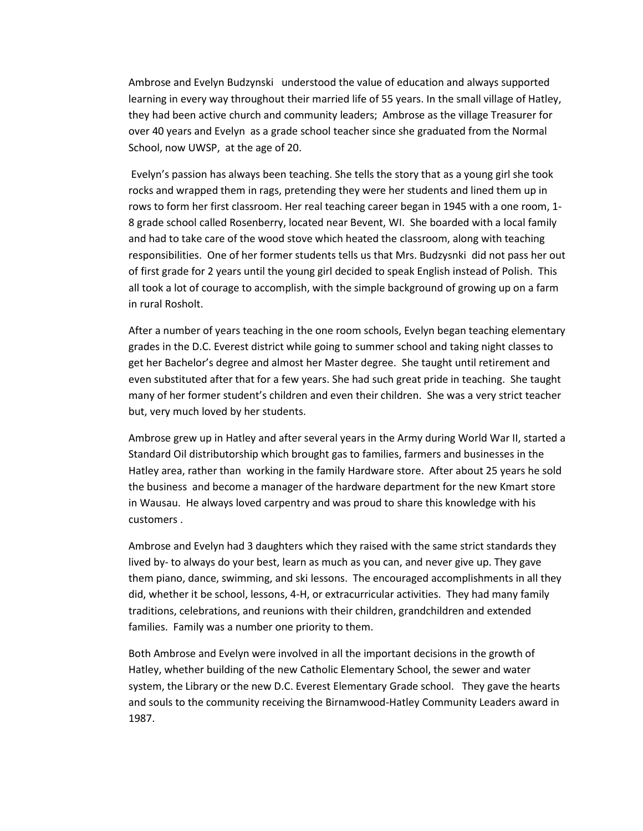Ambrose and Evelyn Budzynski understood the value of education and always supported learning in every way throughout their married life of 55 years. In the small village of Hatley, they had been active church and community leaders; Ambrose as the village Treasurer for over 40 years and Evelyn as a grade school teacher since she graduated from the Normal School, now UWSP, at the age of 20.

Evelyn's passion has always been teaching. She tells the story that as a young girl she took rocks and wrapped them in rags, pretending they were her students and lined them up in rows to form her first classroom. Her real teaching career began in 1945 with a one room, 1- 8 grade school called Rosenberry, located near Bevent, WI. She boarded with a local family and had to take care of the wood stove which heated the classroom, along with teaching responsibilities. One of her former students tells us that Mrs. Budzysnki did not pass her out of first grade for 2 years until the young girl decided to speak English instead of Polish. This all took a lot of courage to accomplish, with the simple background of growing up on a farm in rural Rosholt.

After a number of years teaching in the one room schools, Evelyn began teaching elementary grades in the D.C. Everest district while going to summer school and taking night classes to get her Bachelor's degree and almost her Master degree. She taught until retirement and even substituted after that for a few years. She had such great pride in teaching. She taught many of her former student's children and even their children. She was a very strict teacher but, very much loved by her students.

Ambrose grew up in Hatley and after several years in the Army during World War II, started a Standard Oil distributorship which brought gas to families, farmers and businesses in the Hatley area, rather than working in the family Hardware store. After about 25 years he sold the business and become a manager of the hardware department for the new Kmart store in Wausau. He always loved carpentry and was proud to share this knowledge with his customers .

Ambrose and Evelyn had 3 daughters which they raised with the same strict standards they lived by- to always do your best, learn as much as you can, and never give up. They gave them piano, dance, swimming, and ski lessons. The encouraged accomplishments in all they did, whether it be school, lessons, 4-H, or extracurricular activities. They had many family traditions, celebrations, and reunions with their children, grandchildren and extended families. Family was a number one priority to them.

Both Ambrose and Evelyn were involved in all the important decisions in the growth of Hatley, whether building of the new Catholic Elementary School, the sewer and water system, the Library or the new D.C. Everest Elementary Grade school. They gave the hearts and souls to the community receiving the Birnamwood-Hatley Community Leaders award in 1987.